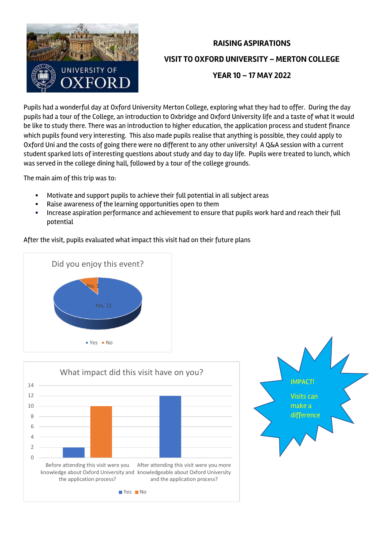

## **RAISING ASPIRATIONS VISIT TO OXFORD UNIVERSITY – MERTON COLLEGE YEAR 10 – 17 MAY 2022**

Pupils had a wonderful day at Oxford University Merton College, exploring what they had to offer. During the day pupils had a tour of the College, an introduction to Oxbridge and Oxford University life and a taste of what it would be like to study there. There was an introduction to higher education, the application process and student finance which pupils found very interesting. This also made pupils realise that anything is possible, they could apply to Oxford Uni and the costs of going there were no different to any other university! A Q&A session with a current student sparked lots of interesting questions about study and day to day life. Pupils were treated to lunch, which was served in the college dining hall, followed by a tour of the college grounds.

The main aim of this trip was to:

- Motivate and support pupils to achieve their full potential in all subject areas
- Raise awareness of the learning opportunities open to them
- Increase aspiration performance and achievement to ensure that pupils work hard and reach their full potential

After the visit, pupils evaluated what impact this visit had on their future plans





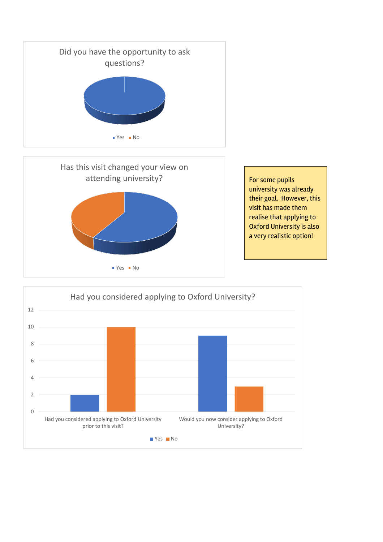